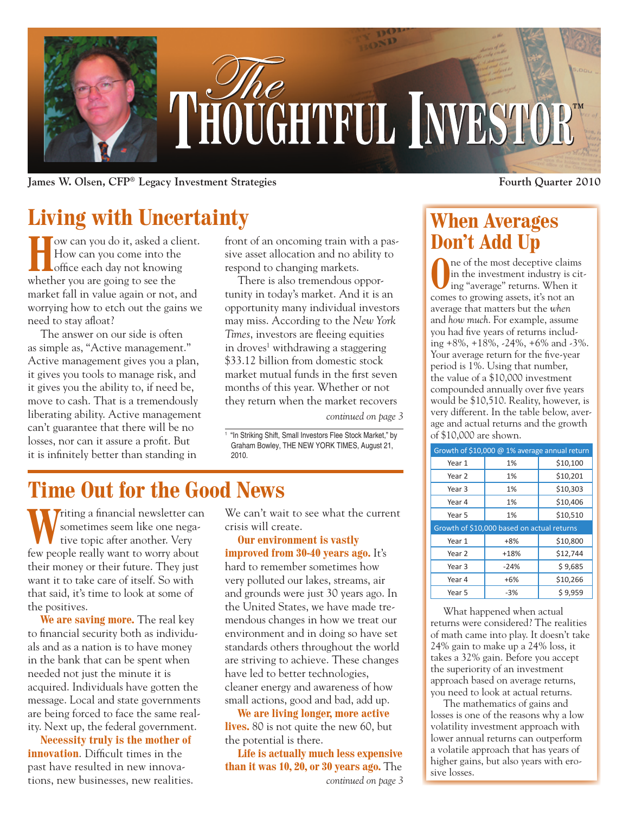

**James W. Olsen, CFP® Legacy Investment Strategies Fourth Quarter 2010**

# **Living with Uncertainty**

**Fow can you do it, asked a client.** How can you come into the office each day not knowing whether you are going to see the market fall in value again or not, and worrying how to etch out the gains we need to stay afloat?

The answer on our side is often as simple as, "Active management." Active management gives you a plan, it gives you tools to manage risk, and it gives you the ability to, if need be, move to cash. That is a tremendously liberating ability. Active management can't guarantee that there will be no losses, nor can it assure a profit. But it is infinitely better than standing in

front of an oncoming train with a passive asset allocation and no ability to respond to changing markets.

There is also tremendous opportunity in today's market. And it is an opportunity many individual investors may miss. According to the *New York Times*, investors are fleeing equities in droves<sup>1</sup> withdrawing a staggering \$33.12 billion from domestic stock market mutual funds in the first seven months of this year. Whether or not they return when the market recovers *continued on page 3*

<sup>1</sup> "In Striking Shift, Small Investors Flee Stock Market," by Graham Bowley, THE NEW YORK TIMES, August 21, 2010.

## **Time Out for the Good News**

**W**riting a financial newsletter can sometimes seem like one negative topic after another. Very few people really want to worry about their money or their future. They just want it to take care of itself. So with that said, it's time to look at some of the positives.

**We are saving more.** The real key to financial security both as individuals and as a nation is to have money in the bank that can be spent when needed not just the minute it is acquired. Individuals have gotten the message. Local and state governments are being forced to face the same reality. Next up, the federal government.

**Necessity truly is the mother of innovation**. Difficult times in the past have resulted in new innovations, new businesses, new realities. We can't wait to see what the current crisis will create.

### **Our environment is vastly**

**improved from 30-40 years ago.** It's hard to remember sometimes how very polluted our lakes, streams, air and grounds were just 30 years ago. In the United States, we have made tremendous changes in how we treat our environment and in doing so have set standards others throughout the world are striving to achieve. These changes have led to better technologies, cleaner energy and awareness of how small actions, good and bad, add up.

**We are living longer, more active lives.** 80 is not quite the new 60, but the potential is there.

**Life is actually much less expensive than it was 10, 20, or 30 years ago.** The *continued on page 3*

### **When Averages Don't Add Up**

**O**ne of the most deceptive claims<br>in the investment industry is cit<br>ing "average" returns. When it in the investment industry is citcomes to growing assets, it's not an average that matters but the *when* and *how much*. For example, assume you had five years of returns including +8%, +18%, -24%, +6% and -3%. Your average return for the five-year period is 1%. Using that number, the value of a \$10,000 investment compounded annually over five years would be \$10,510. Reality, however, is very different. In the table below, average and actual returns and the growth of \$10,000 are shown.

| Growth of \$10,000 @ 1% average annual return |        |          |  |  |
|-----------------------------------------------|--------|----------|--|--|
| Year 1                                        | 1%     | \$10,100 |  |  |
| Year 2                                        | 1%     | \$10,201 |  |  |
| Year 3                                        | 1%     | \$10,303 |  |  |
| Year 4                                        | 1%     | \$10,406 |  |  |
| Year 5                                        | 1%     | \$10,510 |  |  |
| Growth of \$10,000 based on actual returns    |        |          |  |  |
| Year 1                                        | $+8%$  | \$10,800 |  |  |
| Year 2                                        | $+18%$ | \$12,744 |  |  |
| Year 3                                        | $-24%$ | \$9,685  |  |  |
| Year 4                                        | $+6%$  | \$10,266 |  |  |
| Year 5                                        | $-3%$  | \$9.959  |  |  |

What happened when actual returns were considered? The realities of math came into play. It doesn't take 24% gain to make up a 24% loss, it takes a 32% gain. Before you accept the superiority of an investment approach based on average returns, you need to look at actual returns.

The mathematics of gains and losses is one of the reasons why a low volatility investment approach with lower annual returns can outperform a volatile approach that has years of higher gains, but also years with erosive losses.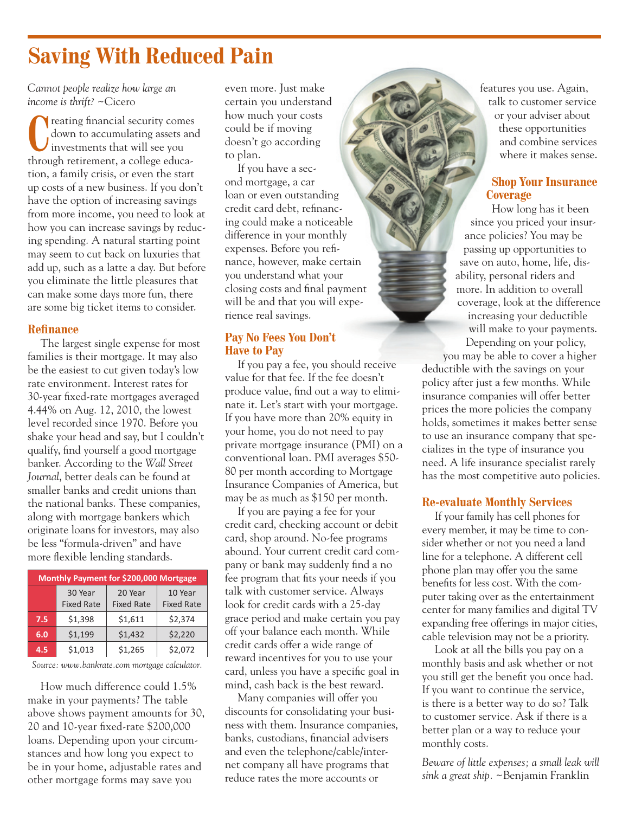## **Saving With Reduced Pain**

*Cannot people realize how large an income is thrift?* ~Cicero

**C** reating financial security comes<br>
down to accumulating assets and<br>
investments that will see you down to accumulating assets and through retirement, a college education, a family crisis, or even the start up costs of a new business. If you don't have the option of increasing savings from more income, you need to look at how you can increase savings by reducing spending. A natural starting point may seem to cut back on luxuries that add up, such as a latte a day. But before you eliminate the little pleasures that can make some days more fun, there are some big ticket items to consider.

#### **Refinance**

The largest single expense for most families is their mortgage. It may also be the easiest to cut given today's low rate environment. Interest rates for 30-year fixed-rate mortgages averaged 4.44% on Aug. 12, 2010, the lowest level recorded since 1970. Before you shake your head and say, but I couldn't qualify, find yourself a good mortgage banker. According to the *Wall Street Journal*, better deals can be found at smaller banks and credit unions than the national banks. These companies, along with mortgage bankers which originate loans for investors, may also be less "formula-driven" and have more flexible lending standards.

| Monthly Payment for \$200,000 Mortgage |                              |                              |                              |  |
|----------------------------------------|------------------------------|------------------------------|------------------------------|--|
|                                        | 30 Year<br><b>Fixed Rate</b> | 20 Year<br><b>Fixed Rate</b> | 10 Year<br><b>Fixed Rate</b> |  |
| 7.5                                    | \$1,398                      | \$1,611                      | \$2,374                      |  |
| 6.0                                    | \$1,199                      | \$1,432                      | \$2,220                      |  |
| 4.5                                    | \$1,013                      | \$1,265                      | \$2,072                      |  |

*Source: www.bankrate.com mortgage calculator.*

How much difference could 1.5% make in your payments? The table above shows payment amounts for 30, 20 and 10-year fixed-rate \$200,000 loans. Depending upon your circumstances and how long you expect to be in your home, adjustable rates and other mortgage forms may save you

even more. Just make certain you understand how much your costs could be if moving doesn't go according to plan.

If you have a second mortgage, a car loan or even outstanding credit card debt, refinancing could make a noticeable difference in your monthly expenses. Before you refinance, however, make certain you understand what your closing costs and final payment will be and that you will experience real savings.

#### **Pay No Fees You Don't Have to Pay**

If you pay a fee, you should receive value for that fee. If the fee doesn't produce value, find out a way to eliminate it. Let's start with your mortgage. If you have more than 20% equity in your home, you do not need to pay private mortgage insurance (PMI) on a conventional loan. PMI averages \$50- 80 per month according to Mortgage Insurance Companies of America, but may be as much as \$150 per month.

If you are paying a fee for your credit card, checking account or debit card, shop around. No-fee programs abound. Your current credit card company or bank may suddenly find a no fee program that fits your needs if you talk with customer service. Always look for credit cards with a 25-day grace period and make certain you pay off your balance each month. While credit cards offer a wide range of reward incentives for you to use your card, unless you have a specific goal in mind, cash back is the best reward.

Many companies will offer you discounts for consolidating your business with them. Insurance companies, banks, custodians, financial advisers and even the telephone/cable/internet company all have programs that reduce rates the more accounts or

features you use. Again, talk to customer service or your adviser about these opportunities and combine services where it makes sense.

#### **Shop Your Insurance Coverage**

How long has it been since you priced your insurance policies? You may be passing up opportunities to save on auto, home, life, disability, personal riders and more. In addition to overall coverage, look at the difference increasing your deductible will make to your payments. Depending on your policy,

you may be able to cover a higher deductible with the savings on your policy after just a few months. While insurance companies will offer better prices the more policies the company holds, sometimes it makes better sense to use an insurance company that specializes in the type of insurance you need. A life insurance specialist rarely has the most competitive auto policies.

#### **Re-evaluate Monthly Services**

If your family has cell phones for every member, it may be time to consider whether or not you need a land line for a telephone. A different cell phone plan may offer you the same benefits for less cost. With the computer taking over as the entertainment center for many families and digital TV expanding free offerings in major cities, cable television may not be a priority.

Look at all the bills you pay on a monthly basis and ask whether or not you still get the benefit you once had. If you want to continue the service, is there is a better way to do so? Talk to customer service. Ask if there is a better plan or a way to reduce your monthly costs.

*Beware of little expenses; a small leak will sink a great ship.* ~Benjamin Franklin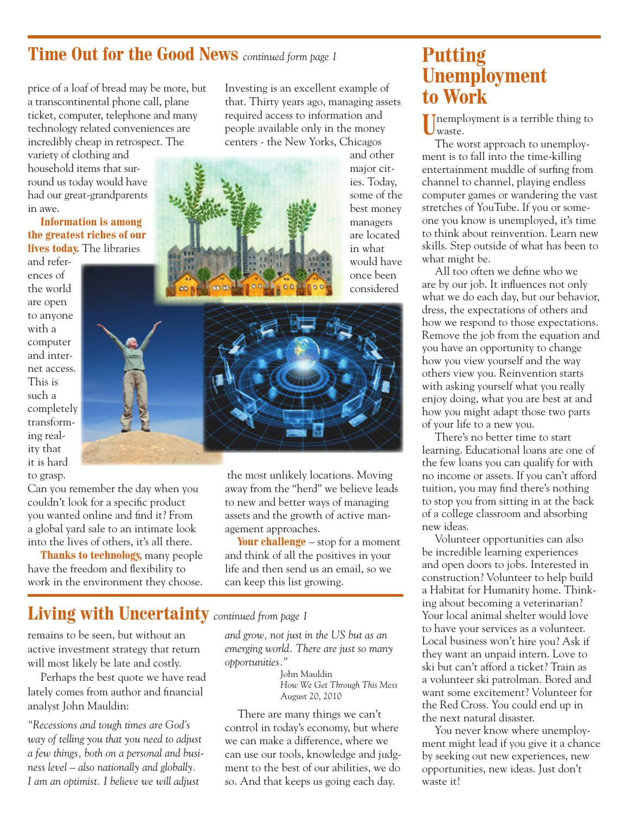### **Time Out for the Good News** *continued form page 1*

price of a loaf of bread may be more, but a transcontinental phone call, plane ticket, computer, telephone and many technology related conveniences are incredibly cheap in retrospect. The

variety of clothing and household items that surround us today would have had our great-grandparents in awe.

#### **Information is among the greatest riches of our lives today.** The libraries

and references of the world are open to anyone with a computer and internet access. This is such a completely transforming reality that it is hard to grasp.

Can you remember the day when you couldn't look for a specific product you wanted online and find it? From a global yard sale to an intimate look into the lives of others, it's all there.

**Thanks to technology,** many people have the freedom and flexibility to work in the environment they choose.

Investing is an excellent example of that. Thirty years ago, managing assets required access to information and people available only in the money centers - the New Yorks, Chicagos





the most unlikely locations. Moving away from the "herd" we believe leads to new and better ways of managing assets and the growth of active management approaches.

**Your challenge** – stop for a moment and think of all the positives in your life and then send us an email, so we can keep this list growing.

### **Living with Uncertainty** *continued from page 1*

remains to be seen, but without an active investment strategy that return will most likely be late and costly.

Perhaps the best quote we have read lately comes from author and financial analyst John Mauldin:

*"Recessions and tough times are God's way of telling you that you need to adjust a few things, both on a personal and business level – also nationally and globally. I am an optimist. I believe we will adjust* 

*and grow, not just in the US but as an emerging world. There are just so many opportunities."*

John Mauldin *How We Get Through This Mess* August 20, 2010

There are many things we can't control in today's economy, but where we can make a difference, where we can use our tools, knowledge and judgment to the best of our abilities, we do so. And that keeps us going each day.

## **Putting Unemployment to Work**

**U**nemployment is a terrible thing to waste.

The worst approach to unemployment is to fall into the time-killing entertainment muddle of surfing from channel to channel, playing endless computer games or wandering the vast stretches of YouTube. If you or someone you know is unemployed, it's time to think about reinvention. Learn new skills. Step outside of what has been to what might be.

All too often we define who we are by our job. It influences not only what we do each day, but our behavior, dress, the expectations of others and how we respond to those expectations. Remove the job from the equation and you have an opportunity to change how you view yourself and the way others view you. Reinvention starts with asking yourself what you really enjoy doing, what you are best at and how you might adapt those two parts of your life to a new you.

There's no better time to start learning. Educational loans are one of the few loans you can qualify for with no income or assets. If you can't afford tuition, you may find there's nothing to stop you from sitting in at the back of a college classroom and absorbing new ideas.

Volunteer opportunities can also be incredible learning experiences and open doors to jobs. Interested in construction? Volunteer to help build a Habitat for Humanity home. Thinking about becoming a veterinarian? Your local animal shelter would love to have your services as a volunteer. Local business won't hire you? Ask if they want an unpaid intern. Love to ski but can't afford a ticket? Train as a volunteer ski patrolman. Bored and want some excitement? Volunteer for the Red Cross. You could end up in the next natural disaster.

You never know where unemployment might lead if you give it a chance by seeking out new experiences, new opportunities, new ideas. Just don't waste it!